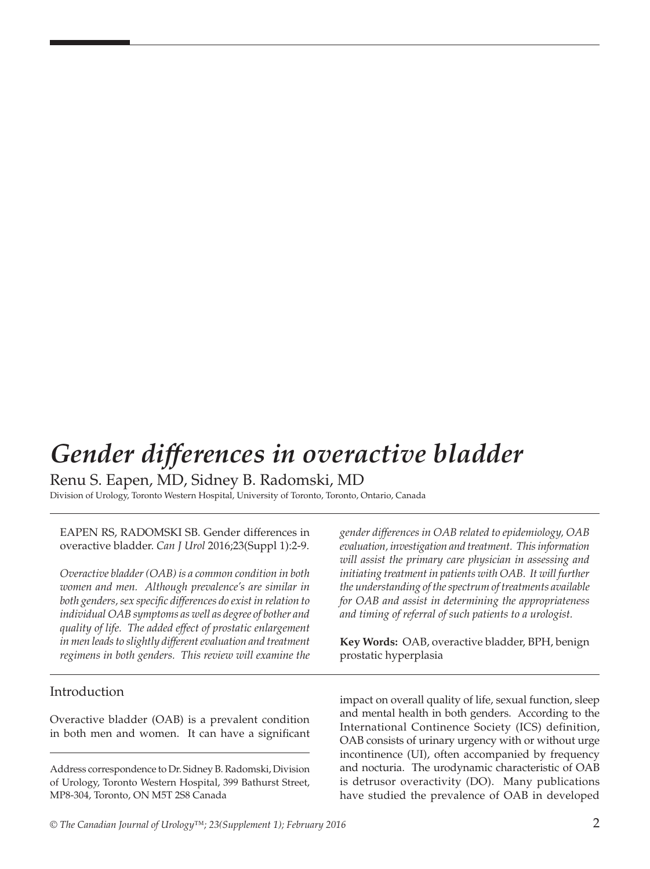# *Gender differences in overactive bladder*

Renu S. Eapen, MD, Sidney B. Radomski, MD

Division of Urology, Toronto Western Hospital, University of Toronto, Toronto, Ontario, Canada

EAPEN RS, RADOMSKI SB. Gender differences in overactive bladder. *Can J Urol* 2016;23(Suppl 1):2-9.

*Overactive bladder (OAB) is a common condition in both women and men. Although prevalence's are similar in both genders, sex specific differences do exist in relation to individual OAB symptoms as well as degree of bother and quality of life. The added effect of prostatic enlargement in men leads to slightly different evaluation and treatment regimens in both genders. This review will examine the* 

## Introduction

Overactive bladder (OAB) is a prevalent condition in both men and women. It can have a significant

Address correspondence to Dr. Sidney B. Radomski, Division of Urology, Toronto Western Hospital, 399 Bathurst Street, MP8-304, Toronto, ON M5T 2S8 Canada

*gender differences in OAB related to epidemiology, OAB evaluation, investigation and treatment. This information will assist the primary care physician in assessing and*  initiating treatment in patients with OAB. It will further *the understanding of the spectrum of treatments available for OAB and assist in determining the appropriateness and timing of referral of such patients to a urologist.* 

**Key Words:** OAB, overactive bladder, BPH, benign prostatic hyperplasia

impact on overall quality of life, sexual function, sleep and mental health in both genders. According to the International Continence Society (ICS) definition, OAB consists of urinary urgency with or without urge incontinence (UI), often accompanied by frequency and nocturia. The urodynamic characteristic of OAB is detrusor overactivity (DO). Many publications have studied the prevalence of OAB in developed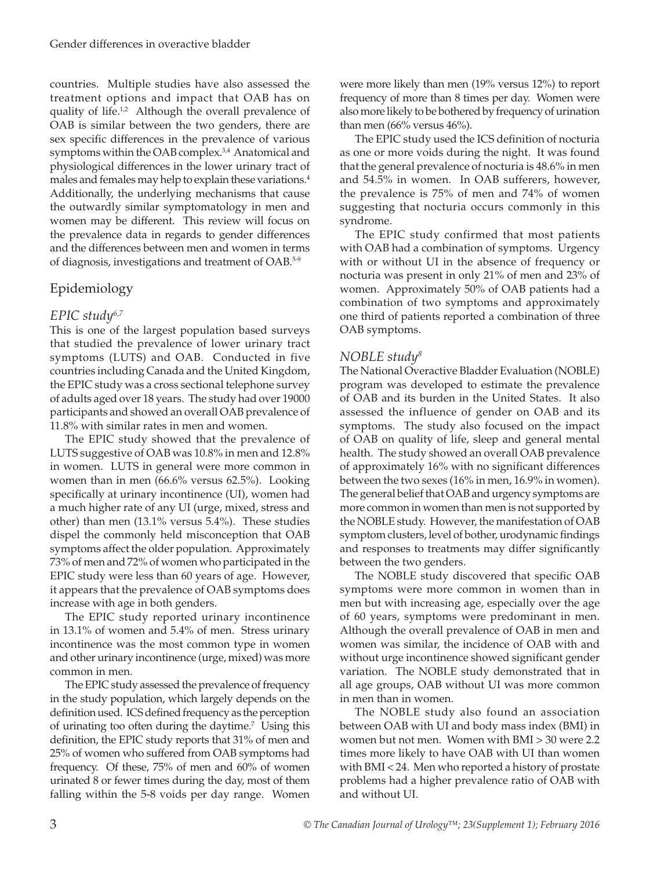countries. Multiple studies have also assessed the treatment options and impact that OAB has on quality of life.<sup>1,2</sup> Although the overall prevalence of OAB is similar between the two genders, there are sex specific differences in the prevalence of various symptoms within the OAB complex.<sup>3,4</sup> Anatomical and physiological differences in the lower urinary tract of males and females may help to explain these variations.<sup>4</sup> Additionally, the underlying mechanisms that cause the outwardly similar symptomatology in men and women may be different. This review will focus on the prevalence data in regards to gender differences and the differences between men and women in terms of diagnosis, investigations and treatment of OAB.5-9

# Epidemiology

# *EPIC study6,7*

This is one of the largest population based surveys that studied the prevalence of lower urinary tract symptoms (LUTS) and OAB. Conducted in five countries including Canada and the United Kingdom, the EPIC study was a cross sectional telephone survey of adults aged over 18 years. The study had over 19000 participants and showed an overall OAB prevalence of 11.8% with similar rates in men and women.

The EPIC study showed that the prevalence of LUTS suggestive of OAB was 10.8% in men and 12.8% in women. LUTS in general were more common in women than in men (66.6% versus 62.5%). Looking specifically at urinary incontinence (UI), women had a much higher rate of any UI (urge, mixed, stress and other) than men (13.1% versus 5.4%). These studies dispel the commonly held misconception that OAB symptoms affect the older population. Approximately 73% of men and 72% of women who participated in the EPIC study were less than 60 years of age. However, it appears that the prevalence of OAB symptoms does increase with age in both genders.

The EPIC study reported urinary incontinence in 13.1% of women and 5.4% of men. Stress urinary incontinence was the most common type in women and other urinary incontinence (urge, mixed) was more common in men.

The EPIC study assessed the prevalence of frequency in the study population, which largely depends on the definition used. ICS defined frequency as the perception of urinating too often during the daytime.<sup>7</sup> Using this definition, the EPIC study reports that 31% of men and 25% of women who suffered from OAB symptoms had frequency. Of these, 75% of men and 60% of women urinated 8 or fewer times during the day, most of them falling within the 5-8 voids per day range. Women

were more likely than men (19% versus 12%) to report frequency of more than 8 times per day. Women were also more likely to be bothered by frequency of urination than men (66% versus 46%).

The EPIC study used the ICS definition of nocturia as one or more voids during the night. It was found that the general prevalence of nocturia is 48.6% in men and 54.5% in women. In OAB sufferers, however, the prevalence is 75% of men and 74% of women suggesting that nocturia occurs commonly in this syndrome.

The EPIC study confirmed that most patients with OAB had a combination of symptoms. Urgency with or without UI in the absence of frequency or nocturia was present in only 21% of men and 23% of women. Approximately 50% of OAB patients had a combination of two symptoms and approximately one third of patients reported a combination of three OAB symptoms.

# *NOBLE study8*

The National Overactive Bladder Evaluation (NOBLE) program was developed to estimate the prevalence of OAB and its burden in the United States. It also assessed the influence of gender on OAB and its symptoms. The study also focused on the impact of OAB on quality of life, sleep and general mental health. The study showed an overall OAB prevalence of approximately 16% with no significant differences between the two sexes (16% in men, 16.9% in women). The general belief that OAB and urgency symptoms are more common in women than men is not supported by the NOBLE study. However, the manifestation of OAB symptom clusters, level of bother, urodynamic findings and responses to treatments may differ significantly between the two genders.

The NOBLE study discovered that specific OAB symptoms were more common in women than in men but with increasing age, especially over the age of 60 years, symptoms were predominant in men. Although the overall prevalence of OAB in men and women was similar, the incidence of OAB with and without urge incontinence showed significant gender variation. The NOBLE study demonstrated that in all age groups, OAB without UI was more common in men than in women.

The NOBLE study also found an association between OAB with UI and body mass index (BMI) in women but not men. Women with BMI > 30 were 2.2 times more likely to have OAB with UI than women with BMI < 24. Men who reported a history of prostate problems had a higher prevalence ratio of OAB with and without UI.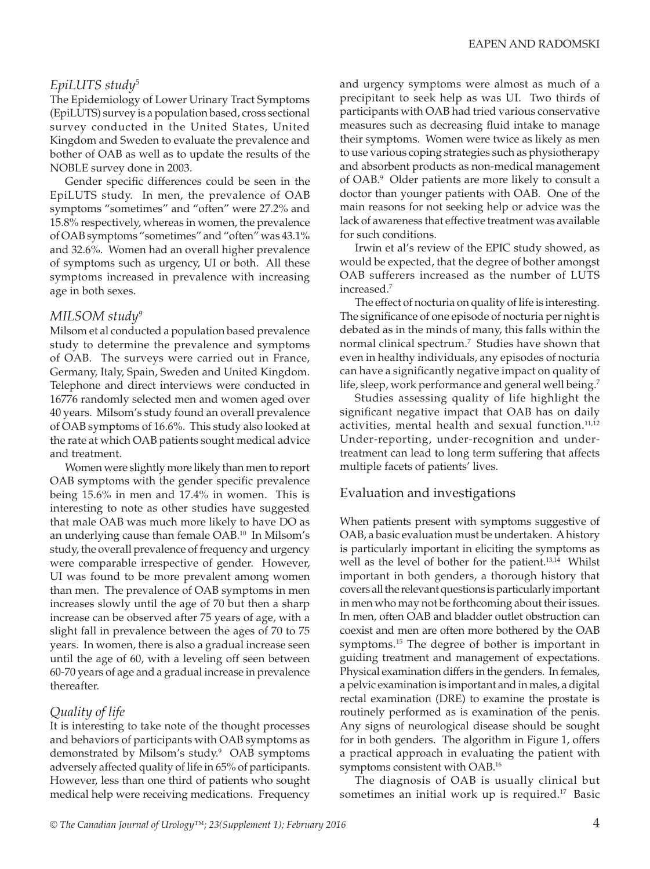# *EpiLUTS study5*

The Epidemiology of Lower Urinary Tract Symptoms (EpiLUTS) survey is a population based, cross sectional survey conducted in the United States, United Kingdom and Sweden to evaluate the prevalence and bother of OAB as well as to update the results of the NOBLE survey done in 2003.

Gender specific differences could be seen in the EpiLUTS study. In men, the prevalence of OAB symptoms "sometimes" and "often" were 27.2% and 15.8% respectively, whereas in women, the prevalence of OAB symptoms "sometimes" and "often" was 43.1% and 32.6%. Women had an overall higher prevalence of symptoms such as urgency, UI or both. All these symptoms increased in prevalence with increasing age in both sexes.

## *MILSOM study9*

Milsom et al conducted a population based prevalence study to determine the prevalence and symptoms of OAB. The surveys were carried out in France, Germany, Italy, Spain, Sweden and United Kingdom. Telephone and direct interviews were conducted in 16776 randomly selected men and women aged over 40 years. Milsom's study found an overall prevalence of OAB symptoms of 16.6%. This study also looked at the rate at which OAB patients sought medical advice and treatment.

Women were slightly more likely than men to report OAB symptoms with the gender specific prevalence being 15.6% in men and 17.4% in women. This is interesting to note as other studies have suggested that male OAB was much more likely to have DO as an underlying cause than female OAB.10 In Milsom's study, the overall prevalence of frequency and urgency were comparable irrespective of gender. However, UI was found to be more prevalent among women than men. The prevalence of OAB symptoms in men increases slowly until the age of 70 but then a sharp increase can be observed after 75 years of age, with a slight fall in prevalence between the ages of 70 to 75 years. In women, there is also a gradual increase seen until the age of 60, with a leveling off seen between 60-70 years of age and a gradual increase in prevalence thereafter.

# *Quality of life*

It is interesting to take note of the thought processes and behaviors of participants with OAB symptoms as demonstrated by Milsom's study.<sup>9</sup> OAB symptoms adversely affected quality of life in 65% of participants. However, less than one third of patients who sought medical help were receiving medications. Frequency

and urgency symptoms were almost as much of a precipitant to seek help as was UI. Two thirds of participants with OAB had tried various conservative measures such as decreasing fluid intake to manage their symptoms. Women were twice as likely as men to use various coping strategies such as physiotherapy and absorbent products as non-medical management of OAB.9 Older patients are more likely to consult a doctor than younger patients with OAB. One of the main reasons for not seeking help or advice was the lack of awareness that effective treatment was available for such conditions.

Irwin et al's review of the EPIC study showed, as would be expected, that the degree of bother amongst OAB sufferers increased as the number of LUTS increased.7

The effect of nocturia on quality of life is interesting. The significance of one episode of nocturia per night is debated as in the minds of many, this falls within the normal clinical spectrum.7 Studies have shown that even in healthy individuals, any episodes of nocturia can have a significantly negative impact on quality of life, sleep, work performance and general well being.<sup>7</sup>

Studies assessing quality of life highlight the significant negative impact that OAB has on daily activities, mental health and sexual function.<sup>11,12</sup> Under-reporting, under-recognition and undertreatment can lead to long term suffering that affects multiple facets of patients' lives.

## Evaluation and investigations

When patients present with symptoms suggestive of OAB, a basic evaluation must be undertaken. A history is particularly important in eliciting the symptoms as well as the level of bother for the patient.13,14 Whilst important in both genders, a thorough history that covers all the relevant questions is particularly important in men who may not be forthcoming about their issues. In men, often OAB and bladder outlet obstruction can coexist and men are often more bothered by the OAB symptoms.<sup>15</sup> The degree of bother is important in guiding treatment and management of expectations. Physical examination differs in the genders. In females, a pelvic examination is important and in males, a digital rectal examination (DRE) to examine the prostate is routinely performed as is examination of the penis. Any signs of neurological disease should be sought for in both genders. The algorithm in Figure 1, offers a practical approach in evaluating the patient with symptoms consistent with OAB.16

The diagnosis of OAB is usually clinical but sometimes an initial work up is required.<sup>17</sup> Basic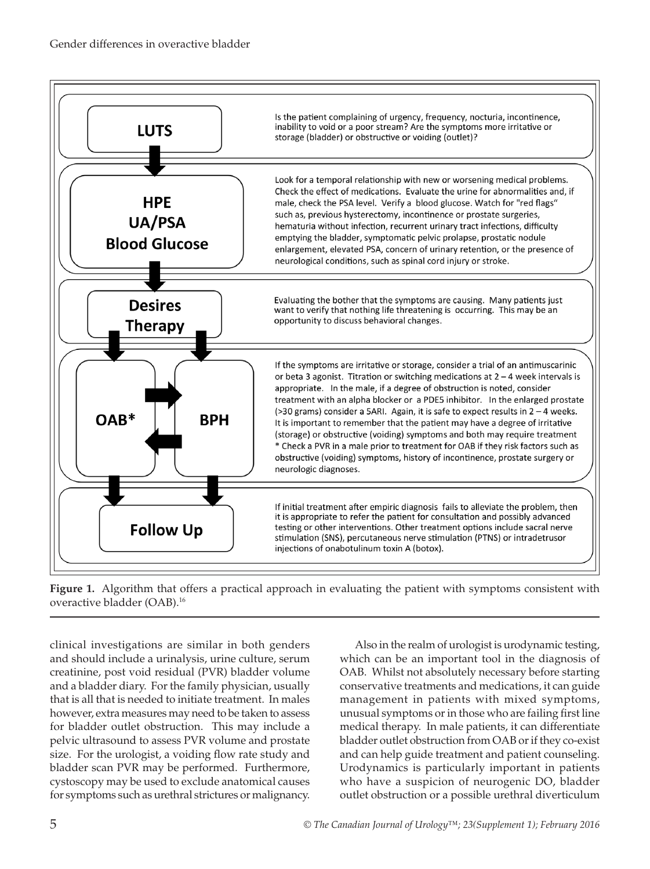



clinical investigations are similar in both genders and should include a urinalysis, urine culture, serum creatinine, post void residual (PVR) bladder volume and a bladder diary. For the family physician, usually that is all that is needed to initiate treatment. In males however, extra measures may need to be taken to assess for bladder outlet obstruction. This may include a pelvic ultrasound to assess PVR volume and prostate size. For the urologist, a voiding flow rate study and bladder scan PVR may be performed. Furthermore, cystoscopy may be used to exclude anatomical causes for symptoms such as urethral strictures or malignancy.

Also in the realm of urologist is urodynamic testing, which can be an important tool in the diagnosis of OAB. Whilst not absolutely necessary before starting conservative treatments and medications, it can guide management in patients with mixed symptoms, unusual symptoms or in those who are failing first line medical therapy. In male patients, it can differentiate bladder outlet obstruction from OAB or if they co-exist and can help guide treatment and patient counseling. Urodynamics is particularly important in patients who have a suspicion of neurogenic DO, bladder outlet obstruction or a possible urethral diverticulum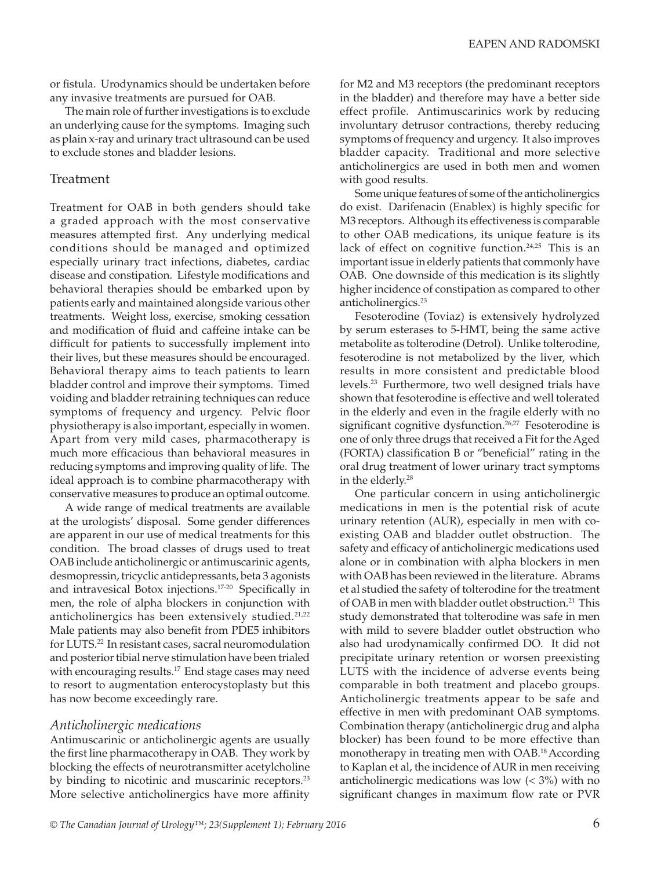or fistula. Urodynamics should be undertaken before any invasive treatments are pursued for OAB.

The main role of further investigations is to exclude an underlying cause for the symptoms. Imaging such as plain x-ray and urinary tract ultrasound can be used to exclude stones and bladder lesions.

## Treatment

Treatment for OAB in both genders should take a graded approach with the most conservative measures attempted first. Any underlying medical conditions should be managed and optimized especially urinary tract infections, diabetes, cardiac disease and constipation. Lifestyle modifications and behavioral therapies should be embarked upon by patients early and maintained alongside various other treatments. Weight loss, exercise, smoking cessation and modification of fluid and caffeine intake can be difficult for patients to successfully implement into their lives, but these measures should be encouraged. Behavioral therapy aims to teach patients to learn bladder control and improve their symptoms. Timed voiding and bladder retraining techniques can reduce symptoms of frequency and urgency. Pelvic floor physiotherapy is also important, especially in women. Apart from very mild cases, pharmacotherapy is much more efficacious than behavioral measures in reducing symptoms and improving quality of life. The ideal approach is to combine pharmacotherapy with conservative measures to produce an optimal outcome.

A wide range of medical treatments are available at the urologists' disposal. Some gender differences are apparent in our use of medical treatments for this condition. The broad classes of drugs used to treat OAB include anticholinergic or antimuscarinic agents, desmopressin, tricyclic antidepressants, beta 3 agonists and intravesical Botox injections.17-20 Specifically in men, the role of alpha blockers in conjunction with anticholinergics has been extensively studied.<sup>21,22</sup> Male patients may also benefit from PDE5 inhibitors for LUTS.22 In resistant cases, sacral neuromodulation and posterior tibial nerve stimulation have been trialed with encouraging results.<sup>17</sup> End stage cases may need to resort to augmentation enterocystoplasty but this has now become exceedingly rare.

#### *Anticholinergic medications*

Antimuscarinic or anticholinergic agents are usually the first line pharmacotherapy in OAB. They work by blocking the effects of neurotransmitter acetylcholine by binding to nicotinic and muscarinic receptors.<sup>23</sup> More selective anticholinergics have more affinity

for M2 and M3 receptors (the predominant receptors in the bladder) and therefore may have a better side effect profile. Antimuscarinics work by reducing involuntary detrusor contractions, thereby reducing symptoms of frequency and urgency. It also improves bladder capacity. Traditional and more selective anticholinergics are used in both men and women with good results.

Some unique features of some of the anticholinergics do exist. Darifenacin (Enablex) is highly specific for M3 receptors. Although its effectiveness is comparable to other OAB medications, its unique feature is its lack of effect on cognitive function.<sup>24,25</sup> This is an important issue in elderly patients that commonly have OAB. One downside of this medication is its slightly higher incidence of constipation as compared to other anticholinergics.<sup>23</sup>

Fesoterodine (Toviaz) is extensively hydrolyzed by serum esterases to 5-HMT, being the same active metabolite as tolterodine (Detrol). Unlike tolterodine, fesoterodine is not metabolized by the liver, which results in more consistent and predictable blood levels.23 Furthermore, two well designed trials have shown that fesoterodine is effective and well tolerated in the elderly and even in the fragile elderly with no significant cognitive dysfunction.<sup>26,27</sup> Fesoterodine is one of only three drugs that received a Fit for the Aged (FORTA) classification B or "beneficial" rating in the oral drug treatment of lower urinary tract symptoms in the elderly.28

One particular concern in using anticholinergic medications in men is the potential risk of acute urinary retention (AUR), especially in men with coexisting OAB and bladder outlet obstruction. The safety and efficacy of anticholinergic medications used alone or in combination with alpha blockers in men with OAB has been reviewed in the literature. Abrams et al studied the safety of tolterodine for the treatment of OAB in men with bladder outlet obstruction.<sup>21</sup> This study demonstrated that tolterodine was safe in men with mild to severe bladder outlet obstruction who also had urodynamically confirmed DO. It did not precipitate urinary retention or worsen preexisting LUTS with the incidence of adverse events being comparable in both treatment and placebo groups. Anticholinergic treatments appear to be safe and effective in men with predominant OAB symptoms. Combination therapy (anticholinergic drug and alpha blocker) has been found to be more effective than monotherapy in treating men with OAB.18 According to Kaplan et al, the incidence of AUR in men receiving anticholinergic medications was low  $( $3\%$ )$  with no significant changes in maximum flow rate or PVR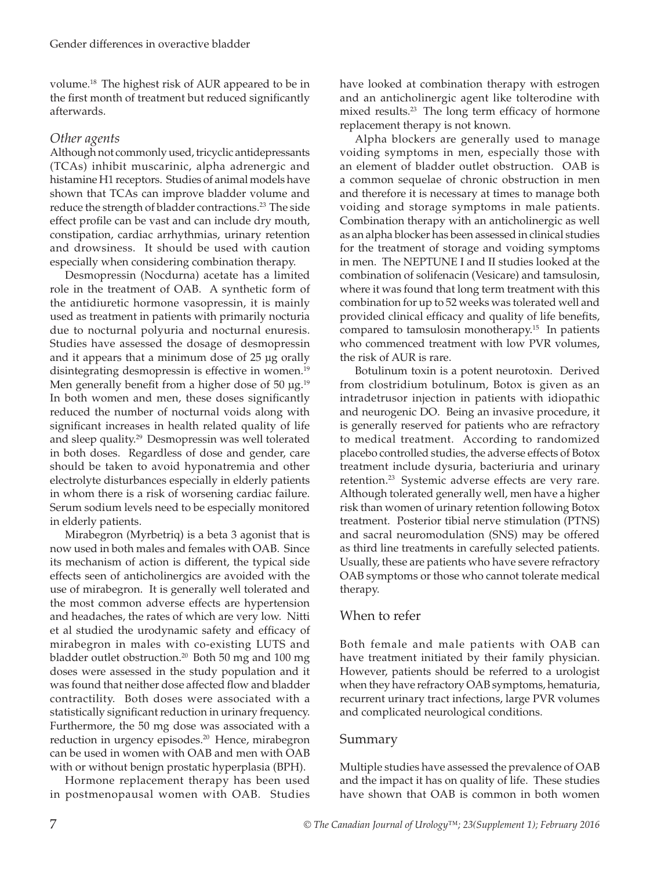volume.18 The highest risk of AUR appeared to be in the first month of treatment but reduced significantly afterwards.

# *Other agents*

Although not commonly used, tricyclic antidepressants (TCAs) inhibit muscarinic, alpha adrenergic and histamine H1 receptors. Studies of animal models have shown that TCAs can improve bladder volume and reduce the strength of bladder contractions.<sup>23</sup> The side effect profile can be vast and can include dry mouth, constipation, cardiac arrhythmias, urinary retention and drowsiness. It should be used with caution especially when considering combination therapy.

Desmopressin (Nocdurna) acetate has a limited role in the treatment of OAB. A synthetic form of the antidiuretic hormone vasopressin, it is mainly used as treatment in patients with primarily nocturia due to nocturnal polyuria and nocturnal enuresis. Studies have assessed the dosage of desmopressin and it appears that a minimum dose of 25 µg orally disintegrating desmopressin is effective in women.<sup>19</sup> Men generally benefit from a higher dose of 50  $\mu$ g.<sup>19</sup> In both women and men, these doses significantly reduced the number of nocturnal voids along with significant increases in health related quality of life and sleep quality.<sup>29</sup> Desmopressin was well tolerated in both doses. Regardless of dose and gender, care should be taken to avoid hyponatremia and other electrolyte disturbances especially in elderly patients in whom there is a risk of worsening cardiac failure. Serum sodium levels need to be especially monitored in elderly patients.

Mirabegron (Myrbetriq) is a beta 3 agonist that is now used in both males and females with OAB. Since its mechanism of action is different, the typical side effects seen of anticholinergics are avoided with the use of mirabegron. It is generally well tolerated and the most common adverse effects are hypertension and headaches, the rates of which are very low. Nitti et al studied the urodynamic safety and efficacy of mirabegron in males with co-existing LUTS and bladder outlet obstruction.<sup>20</sup> Both 50 mg and 100 mg doses were assessed in the study population and it was found that neither dose affected flow and bladder contractility. Both doses were associated with a statistically significant reduction in urinary frequency. Furthermore, the 50 mg dose was associated with a reduction in urgency episodes.<sup>20</sup> Hence, mirabegron can be used in women with OAB and men with OAB with or without benign prostatic hyperplasia (BPH).

Hormone replacement therapy has been used in postmenopausal women with OAB. Studies have looked at combination therapy with estrogen and an anticholinergic agent like tolterodine with mixed results.<sup>23</sup> The long term efficacy of hormone replacement therapy is not known.

Alpha blockers are generally used to manage voiding symptoms in men, especially those with an element of bladder outlet obstruction. OAB is a common sequelae of chronic obstruction in men and therefore it is necessary at times to manage both voiding and storage symptoms in male patients. Combination therapy with an anticholinergic as well as an alpha blocker has been assessed in clinical studies for the treatment of storage and voiding symptoms in men. The NEPTUNE I and II studies looked at the combination of solifenacin (Vesicare) and tamsulosin, where it was found that long term treatment with this combination for up to 52 weeks was tolerated well and provided clinical efficacy and quality of life benefits, compared to tamsulosin monotherapy.15 In patients who commenced treatment with low PVR volumes, the risk of AUR is rare.

Botulinum toxin is a potent neurotoxin. Derived from clostridium botulinum, Botox is given as an intradetrusor injection in patients with idiopathic and neurogenic DO. Being an invasive procedure, it is generally reserved for patients who are refractory to medical treatment. According to randomized placebo controlled studies, the adverse effects of Botox treatment include dysuria, bacteriuria and urinary retention.<sup>23</sup> Systemic adverse effects are very rare. Although tolerated generally well, men have a higher risk than women of urinary retention following Botox treatment. Posterior tibial nerve stimulation (PTNS) and sacral neuromodulation (SNS) may be offered as third line treatments in carefully selected patients. Usually, these are patients who have severe refractory OAB symptoms or those who cannot tolerate medical therapy.

## When to refer

Both female and male patients with OAB can have treatment initiated by their family physician. However, patients should be referred to a urologist when they have refractory OAB symptoms, hematuria, recurrent urinary tract infections, large PVR volumes and complicated neurological conditions.

## Summary

Multiple studies have assessed the prevalence of OAB and the impact it has on quality of life. These studies have shown that OAB is common in both women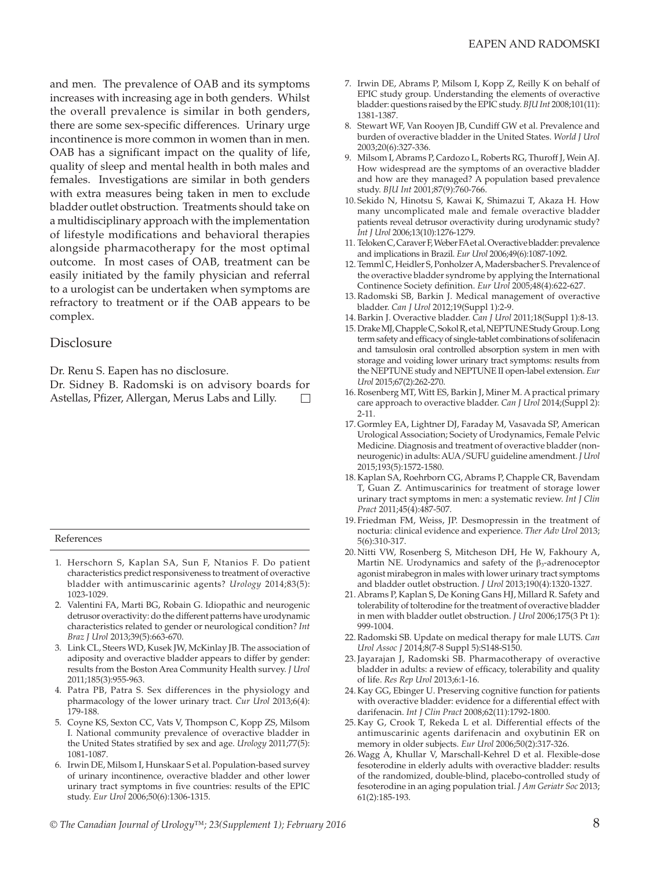and men. The prevalence of OAB and its symptoms increases with increasing age in both genders. Whilst the overall prevalence is similar in both genders, there are some sex-specific differences. Urinary urge incontinence is more common in women than in men. OAB has a significant impact on the quality of life, quality of sleep and mental health in both males and females. Investigations are similar in both genders with extra measures being taken in men to exclude bladder outlet obstruction. Treatments should take on a multidisciplinary approach with the implementation of lifestyle modifications and behavioral therapies alongside pharmacotherapy for the most optimal outcome. In most cases of OAB, treatment can be easily initiated by the family physician and referral to a urologist can be undertaken when symptoms are refractory to treatment or if the OAB appears to be complex.

## Disclosure

Dr. Renu S. Eapen has no disclosure.

Dr. Sidney B. Radomski is on advisory boards for Astellas, Pfizer, Allergan, Merus Labs and Lilly.

#### References

- 1. Herschorn S, Kaplan SA, Sun F, Ntanios F. Do patient characteristics predict responsiveness to treatment of overactive bladder with antimuscarinic agents? *Urology* 2014;83(5): 1023-1029.
- 2. Valentini FA, Marti BG, Robain G. Idiopathic and neurogenic detrusor overactivity: do the different patterns have urodynamic characteristics related to gender or neurological condition? *Int Braz J Urol* 2013;39(5):663-670.
- 3. Link CL, Steers WD, Kusek JW, McKinlay JB. The association of adiposity and overactive bladder appears to differ by gender: results from the Boston Area Community Health survey. *J Urol* 2011;185(3):955-963.
- 4. Patra PB, Patra S. Sex differences in the physiology and pharmacology of the lower urinary tract. *Cur Urol* 2013;6(4): 179-188.
- 5. Coyne KS, Sexton CC, Vats V, Thompson C, Kopp ZS, Milsom I. National community prevalence of overactive bladder in the United States stratified by sex and age. *Urology* 2011;77(5): 1081-1087.
- 6. Irwin DE, Milsom I, Hunskaar S et al. Population-based survey of urinary incontinence, overactive bladder and other lower urinary tract symptoms in five countries: results of the EPIC study. *Eur Urol* 2006;50(6):1306-1315.
- 7. Irwin DE, Abrams P, Milsom I, Kopp Z, Reilly K on behalf of EPIC study group. Understanding the elements of overactive bladder: questions raised by the EPIC study. *BJU Int* 2008;101(11): 1381-1387.
- 8. Stewart WF, Van Rooyen JB, Cundiff GW et al. Prevalence and burden of overactive bladder in the United States. *World J Urol* 2003;20(6):327-336.
- 9. Milsom I, Abrams P, Cardozo L, Roberts RG, Thuroff J, Wein AJ. How widespread are the symptoms of an overactive bladder and how are they managed? A population based prevalence study. *BJU Int* 2001;87(9):760-766.
- 10. Sekido N, Hinotsu S, Kawai K, Shimazui T, Akaza H. How many uncomplicated male and female overactive bladder patients reveal detrusor overactivity during urodynamic study? *Int J Urol* 2006;13(10):1276-1279.
- 11. Teloken C, Caraver F, Weber FA et al. Overactive bladder: prevalence and implications in Brazil. *Eur Urol* 2006;49(6):1087-1092.
- 12. Temml C, Heidler S, Ponholzer A, Madersbacher S. Prevalence of the overactive bladder syndrome by applying the International Continence Society definition. *Eur Urol* 2005;48(4):622-627.
- 13.Radomski SB, Barkin J. Medical management of overactive bladder. *Can J Urol* 2012;19(Suppl 1):2-9.
- 14. Barkin J. Overactive bladder. *Can J Urol* 2011;18(Suppl 1):8-13.
- 15. Drake MJ, Chapple C, Sokol R, et al, NEPTUNE Study Group. Long term safety and efficacy of single-tablet combinations of solifenacin and tamsulosin oral controlled absorption system in men with storage and voiding lower urinary tract symptoms: results from the NEPTUNE study and NEPTUNE II open-label extension. *Eur Urol* 2015;67(2):262-270.
- 16.Rosenberg MT, Witt ES, Barkin J, Miner M. A practical primary care approach to overactive bladder. *Can J Urol* 2014;(Suppl 2): 2-11.
- 17. Gormley EA, Lightner DJ, Faraday M, Vasavada SP, American Urological Association; Society of Urodynamics, Female Pelvic Medicine. Diagnosis and treatment of overactive bladder (nonneurogenic) in adults: AUA/SUFU guideline amendment. *J Urol* 2015;193(5):1572-1580.
- 18. Kaplan SA, Roehrborn CG, Abrams P, Chapple CR, Bavendam T, Guan Z. Antimuscarinics for treatment of storage lower urinary tract symptoms in men: a systematic review. *Int J Clin Pract* 2011;45(4):487-507.
- 19. Friedman FM, Weiss, JP. Desmopressin in the treatment of nocturia: clinical evidence and experience. *Ther Adv Urol* 2013; 5(6):310-317.
- 20. Nitti VW, Rosenberg S, Mitcheson DH, He W, Fakhoury A, Martin NE. Urodynamics and safety of the  $\beta_3$ -adrenoceptor agonist mirabegron in males with lower urinary tract symptoms and bladder outlet obstruction. *J Urol* 2013;190(4):1320-1327.
- 21. Abrams P, Kaplan S, De Koning Gans HJ, Millard R. Safety and tolerability of tolterodine for the treatment of overactive bladder in men with bladder outlet obstruction. *J Urol* 2006;175(3 Pt 1): 999-1004.
- 22.Radomski SB. Update on medical therapy for male LUTS. *Can Urol Assoc J* 2014;8(7-8 Suppl 5):S148-S150.
- 23.Jayarajan J, Radomski SB. Pharmacotherapy of overactive bladder in adults: a review of efficacy, tolerability and quality of life. *Res Rep Urol* 2013;6:1-16.
- 24. Kay GG, Ebinger U. Preserving cognitive function for patients with overactive bladder: evidence for a differential effect with darifenacin. *Int J Clin Pract* 2008;62(11):1792-1800.
- 25. Kay G, Crook T, Rekeda L et al. Differential effects of the antimuscarinic agents darifenacin and oxybutinin ER on memory in older subjects. *Eur Urol* 2006;50(2):317-326.
- 26.Wagg A, Khullar V, Marschall-Kehrel D et al. Flexible-dose fesoterodine in elderly adults with overactive bladder: results of the randomized, double-blind, placebo-controlled study of fesoterodine in an aging population trial. *J Am Geriatr Soc* 2013; 61(2):185-193.